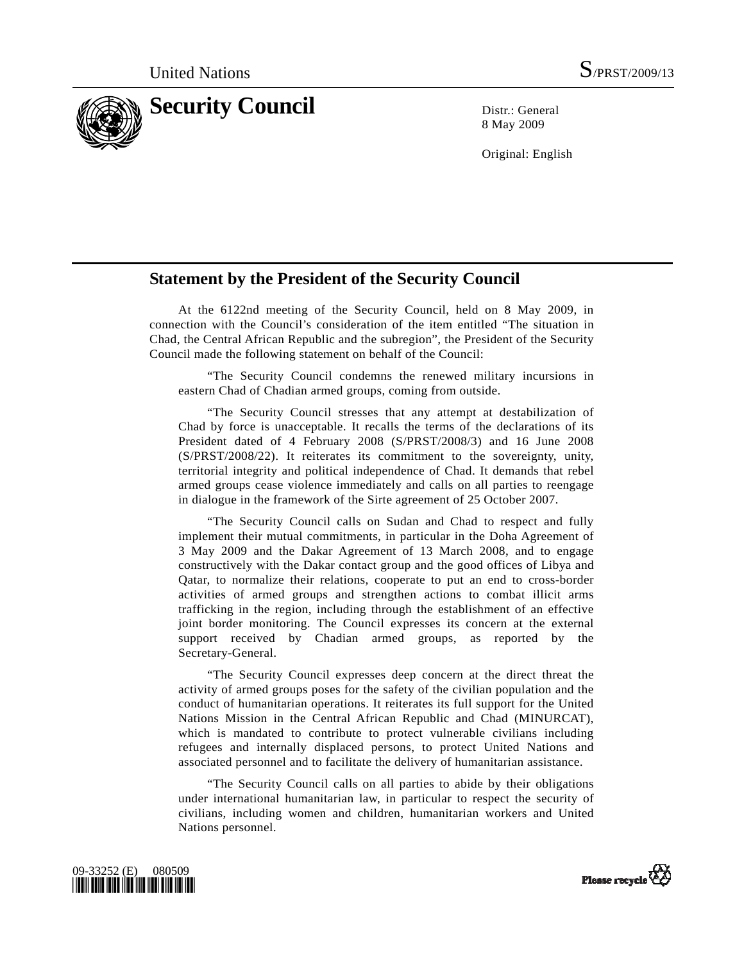

8 May 2009

Original: English

## **Statement by the President of the Security Council**

 At the 6122nd meeting of the Security Council, held on 8 May 2009, in connection with the Council's consideration of the item entitled "The situation in Chad, the Central African Republic and the subregion", the President of the Security Council made the following statement on behalf of the Council:

 "The Security Council condemns the renewed military incursions in eastern Chad of Chadian armed groups, coming from outside.

 "The Security Council stresses that any attempt at destabilization of Chad by force is unacceptable. It recalls the terms of the declarations of its President dated of 4 February 2008 (S/PRST/2008/3) and 16 June 2008 (S/PRST/2008/22). It reiterates its commitment to the sovereignty, unity, territorial integrity and political independence of Chad. It demands that rebel armed groups cease violence immediately and calls on all parties to reengage in dialogue in the framework of the Sirte agreement of 25 October 2007.

 "The Security Council calls on Sudan and Chad to respect and fully implement their mutual commitments, in particular in the Doha Agreement of 3 May 2009 and the Dakar Agreement of 13 March 2008, and to engage constructively with the Dakar contact group and the good offices of Libya and Qatar, to normalize their relations, cooperate to put an end to cross-border activities of armed groups and strengthen actions to combat illicit arms trafficking in the region, including through the establishment of an effective joint border monitoring. The Council expresses its concern at the external support received by Chadian armed groups, as reported by the Secretary-General.

 "The Security Council expresses deep concern at the direct threat the activity of armed groups poses for the safety of the civilian population and the conduct of humanitarian operations. It reiterates its full support for the United Nations Mission in the Central African Republic and Chad (MINURCAT), which is mandated to contribute to protect vulnerable civilians including refugees and internally displaced persons, to protect United Nations and associated personnel and to facilitate the delivery of humanitarian assistance.

 "The Security Council calls on all parties to abide by their obligations under international humanitarian law, in particular to respect the security of civilians, including women and children, humanitarian workers and United Nations personnel.